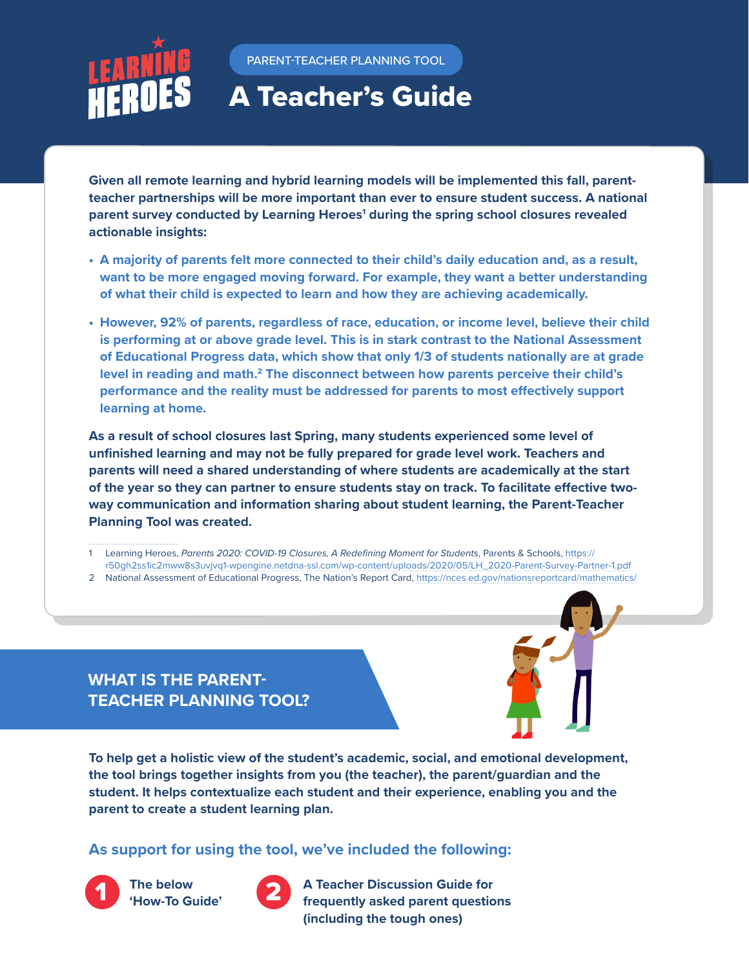

PARENT-TEACHER PLANNING TOOL

# A Teacher's Guide

**Given all remote learning and hybrid learning models will be implemented this fall, parentteacher partnerships will be more important than ever to ensure student success. A national**  parent [survey](https://bealearninghero.org/research/) conducted by Learning Heroes<sup>1</sup> during the spring school closures revealed **actionable insights:** 

- **• A majority of parents felt more connected to their child's daily education and, as a result, want to be more engaged moving forward. For example, they want a better understanding of what their child is expected to learn and how they are achieving academically.**
- **• However, 92% of parents, regardless of race, education, or income level, believe their child is performing at or above grade level. This is in stark contrast to the National Assessment of Educational Progress data, which show that only 1/3 of students nationally are at grade level in reading and math.2 The disconnect between how parents perceive their child's performance and the reality must be addressed for parents to most effectively support learning at home.**

**As a result of school closures last Spring, many students experienced some level of unfinished learning and may not be fully prepared for grade level work. Teachers and parents will need a shared understanding of where students are academically at the start of the year so they can partner to ensure students stay on track. To facilitate effective twoway communication and information sharing about student learning, the Parent-Teacher Planning Tool was created.** 

- 1 Learning Heroes, *Parents 2020: COVID-19 Closures, A Redefining Moment for Students*, Parents & Schools, [https://](https://r50gh2ss1ic2mww8s3uvjvq1-wpengine.netdna-ssl.com/wp-content/uploads/2020/05/LH_2020-Parent-Survey-Partner-1.pdf) [r50gh2ss1ic2mww8s3uvjvq1-wpengine.netdna-ssl.com/wp-content/uploads/2020/05/LH\\_2020-Parent-Survey-Partner-1.pdf](https://r50gh2ss1ic2mww8s3uvjvq1-wpengine.netdna-ssl.com/wp-content/uploads/2020/05/LH_2020-Parent-Survey-Partner-1.pdf)
- 2 National Assessment of Educational Progress, The Nation's Report Card, <https://nces.ed.gov/nationsreportcard/mathematics/>

**WHAT IS THE PARENT-TEACHER PLANNING TOOL?**

**To help get a holistic view of the student's academic, social, and emotional development, the tool brings together insights from you (the teacher), the parent/guardian and the student. It helps contextualize each student and their experience, enabling you and the parent to create a student learning plan.** 

# **As support for using the tool, we've included the following:**



**1** The below **1 <b>Comparent Comparent Constant Constant Constant Point Constant Point Constant Point Constant Point Constant Point Constant Point Constant Point Point Point Point Point Point Point Point Point Point Poi (including the tough ones)**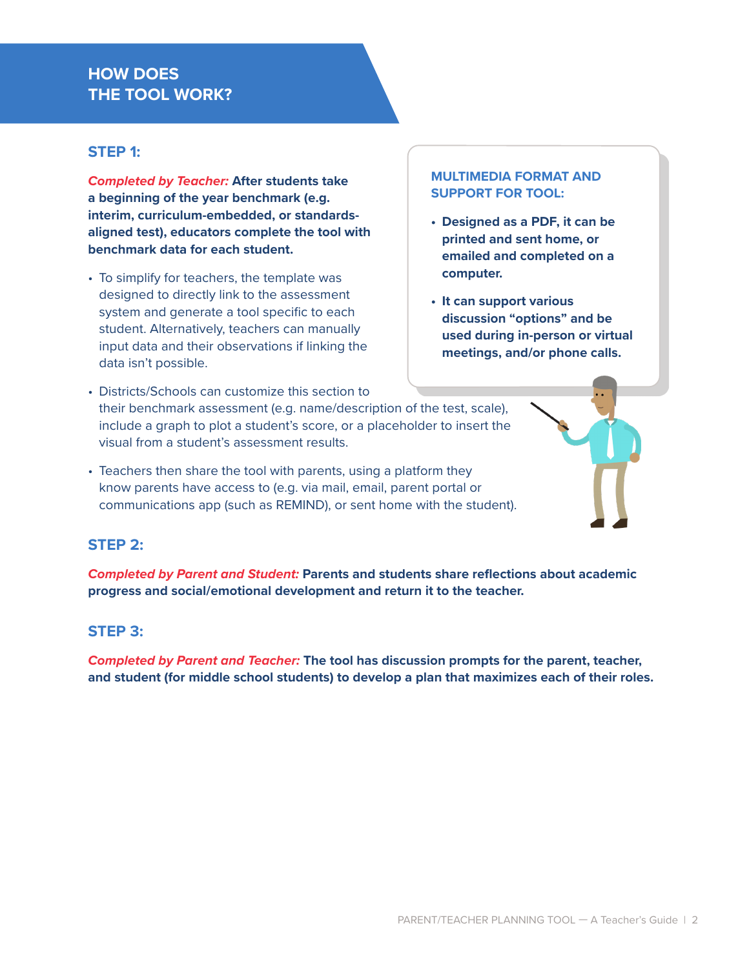# **HOW DOES THE TOOL WORK?**

#### **STEP 1:**

*Completed by Teacher:* **After students take a beginning of the year benchmark (e.g. interim, curriculum-embedded, or standardsaligned test), educators complete the tool with benchmark data for each student.** 

• To simplify for teachers, the template was designed to directly link to the assessment system and generate a tool specific to each student. Alternatively, teachers can manually input data and their observations if linking the data isn't possible.

#### **MULTIMEDIA FORMAT AND SUPPORT FOR TOOL:**

- **• Designed as a PDF, it can be printed and sent home, or emailed and completed on a computer.**
- **• It can support various discussion "options" and be used during in-person or virtual meetings, and/or phone calls.**
- Districts/Schools can customize this section to their benchmark assessment (e.g. name/description of the test, scale), include a graph to plot a student's score, or a placeholder to insert the visual from a student's assessment results.
- Teachers then share the tool with parents, using a platform they know parents have access to (e.g. via mail, email, parent portal or communications app (such as REMIND), or sent home with the student).

# **STEP 2:**

*Completed by Parent and Student:* **Parents and students share reflections about academic progress and social/emotional development and return it to the teacher.** 

#### **STEP 3:**

*Completed by Parent and Teacher:* **The tool has discussion prompts for the parent, teacher, and student (for middle school students) to develop a plan that maximizes each of their roles.**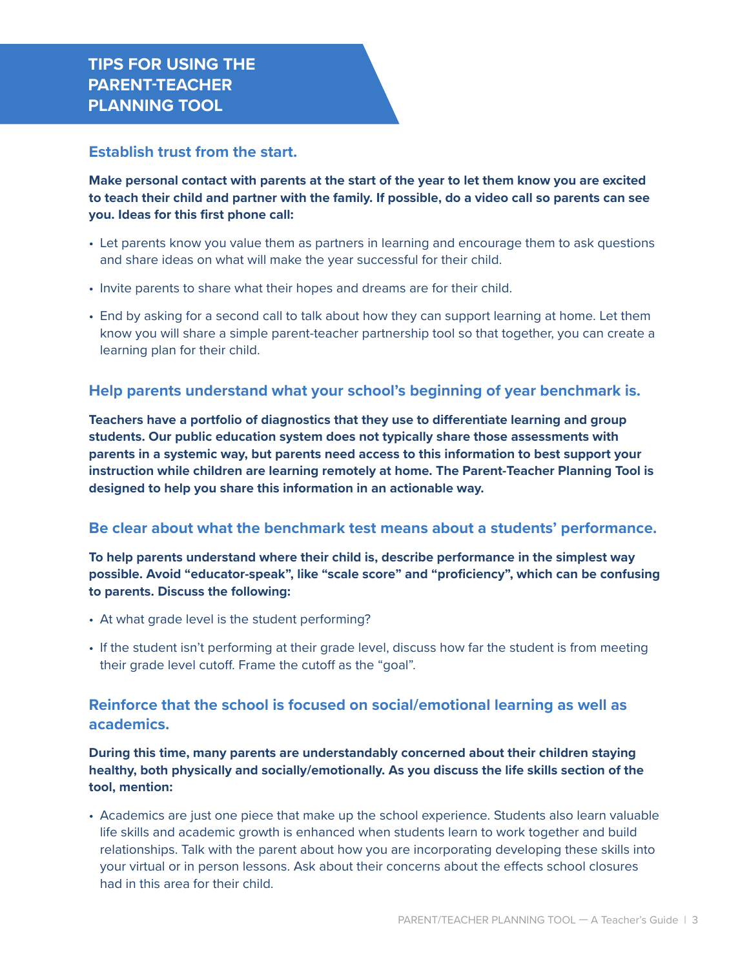#### **Establish trust from the start.**

**Make personal contact with parents at the start of the year to let them know you are excited to teach their child and partner with the family. If possible, do a video call so parents can see you. Ideas for this first phone call:** 

- Let parents know you value them as partners in learning and encourage them to ask questions and share ideas on what will make the year successful for their child.
- Invite parents to share what their hopes and dreams are for their child.
- End by asking for a second call to talk about how they can support learning at home. Let them know you will share a simple parent-teacher partnership tool so that together, you can create a learning plan for their child.

#### **Help parents understand what your school's beginning of year benchmark is.**

**Teachers have a portfolio of diagnostics that they use to differentiate learning and group students. Our public education system does not typically share those assessments with parents in a systemic way, but parents need access to this information to best support your instruction while children are learning remotely at home. The Parent-Teacher Planning Tool is designed to help you share this information in an actionable way.** 

#### **Be clear about what the benchmark test means about a students' performance.**

**To help parents understand where their child is, describe performance in the simplest way possible. Avoid "educator-speak", like "scale score" and "proficiency", which can be confusing to parents. Discuss the following:**

- At what grade level is the student performing?
- If the student isn't performing at their grade level, discuss how far the student is from meeting their grade level cutoff. Frame the cutoff as the "goal".

# **Reinforce that the school is focused on social/emotional learning as well as academics.**

**During this time, many parents are understandably concerned about their children staying healthy, both physically and socially/emotionally. As you discuss the life skills section of the tool, mention:**

• Academics are just one piece that make up the school experience. Students also learn valuable life skills and academic growth is enhanced when students learn to work together and build relationships. Talk with the parent about how you are incorporating developing these skills into your virtual or in person lessons. Ask about their concerns about the effects school closures had in this area for their child.